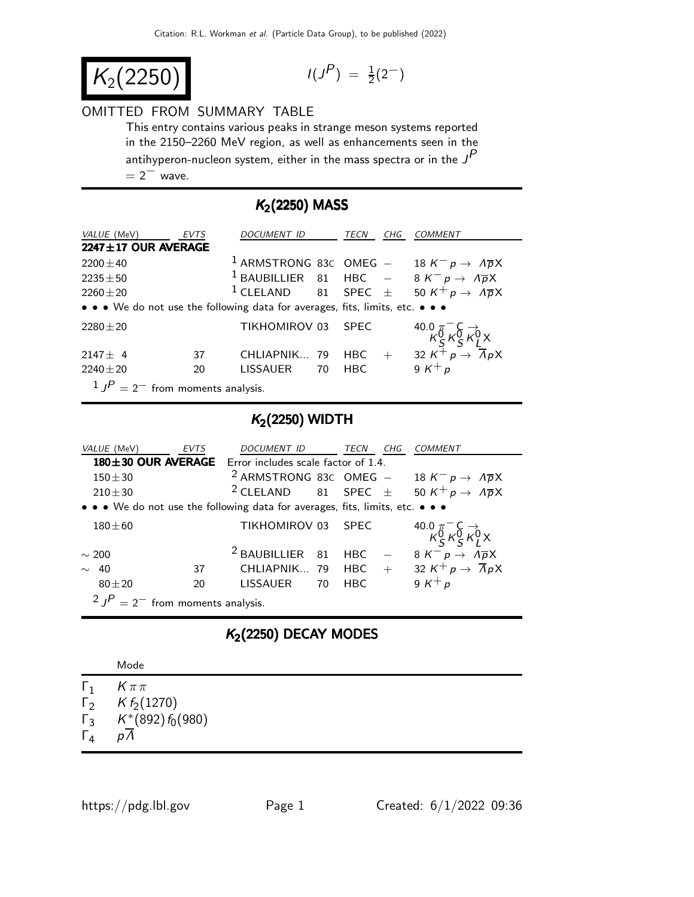$$
K_2(2250)
$$

$$
I(J^P) = \frac{1}{2}(2^-)
$$

#### OMITTED FROM SUMMARY TABLE

This entry contains various peaks in strange meson systems reported in the 2150–2260 MeV region, as well as enhancements seen in the antihyperon-nucleon system, either in the mass spectra or in the  $J<sup>P</sup>$  $= 2^-$  wave.

## $K_2(2250)$  MASS

| <i>VALUE</i> (MeV)                                                            | EVTS | DOCUMENT ID     | TECN   | CHG | <b>COMMENT</b>                                                                                                              |
|-------------------------------------------------------------------------------|------|-----------------|--------|-----|-----------------------------------------------------------------------------------------------------------------------------|
| $2247 \pm 17$ OUR AVERAGE                                                     |      |                 |        |     |                                                                                                                             |
| $2200 \pm 40$                                                                 |      |                 |        |     | <sup>1</sup> ARMSTRONG 83C OMEG - 18 $K^- p \rightarrow \Lambda \overline{p}X$                                              |
| $2235 \pm 50$                                                                 |      |                 |        |     | <sup>1</sup> BAUBILLIER 81 HBC $-$ 8 K <sup>-</sup> p $\rightarrow$ A <sub>p</sub> X                                        |
| $2260 \pm 20$                                                                 |      |                 |        |     | <sup>1</sup> CLELAND 81 SPEC $\pm$ 50 K <sup>+</sup> p $\rightarrow$ A <sub>p</sub> <sub>X</sub>                            |
| • • • We do not use the following data for averages, fits, limits, etc. • • • |      |                 |        |     |                                                                                                                             |
| $2280 \pm 20$                                                                 |      | TIKHOMIROV 03   | - SPEC |     | 40.0 $\pi$ <sup>-</sup> C $\rightarrow$<br>$\kappa$ <sub>S</sub> $\kappa$ <sub>S</sub> $\kappa$ <sub>I</sub> <sup>O</sup> X |
| $2147 \pm 4$                                                                  | 37   | CHLIAPNIK 79    | HBC H  | $+$ | 32 $K^{\perp} p \rightarrow \overline{A} p X$                                                                               |
| $2240 \pm 20$                                                                 | 20   | LISSAUER 70 HBC |        |     | 9 $K^+p$                                                                                                                    |
| $10P = 2$ from moments analysis                                               |      |                 |        |     |                                                                                                                             |

1 J  $= 2^-$  from moments analysis.

# $K<sub>2</sub>(2250)$  WIDTH

| VALUE (MeV)                                                                   | <b>EVTS</b> | DOCUMENT ID                                                                  |    | TECN        | CHG | <i>COMMENT</i>                                                                                   |
|-------------------------------------------------------------------------------|-------------|------------------------------------------------------------------------------|----|-------------|-----|--------------------------------------------------------------------------------------------------|
|                                                                               |             | <b>180<math>\pm</math>30 OUR AVERAGE</b> Error includes scale factor of 1.4. |    |             |     |                                                                                                  |
| $150 + 30$                                                                    |             |                                                                              |    |             |     | <sup>2</sup> ARMSTRONG 83C OMEG - 18 $K^- p \rightarrow \Lambda \overline{p}X$                   |
| $210 + 30$                                                                    |             |                                                                              |    |             |     | <sup>2</sup> CLELAND 81 SPEC $\pm$ 50 K <sup>+</sup> p $\rightarrow$ A <sub>p</sub> <sub>X</sub> |
| • • • We do not use the following data for averages, fits, limits, etc. • • • |             |                                                                              |    |             |     |                                                                                                  |
| $180 + 60$                                                                    |             | TIKHOMIROV 03                                                                |    | <b>SPFC</b> |     | 40.0 $\pi$ <sup>-</sup> C $\rightarrow$<br>$K_S^0 K_S^0 K_I^0 X$                                 |
| $\sim$ 200                                                                    |             | $2$ BAUBILLIER 81                                                            |    | <b>HBC</b>  |     | $8 K^- p \rightarrow \Lambda \overline{p} X$                                                     |
| 40                                                                            | 37          | CHLIAPNIK 79                                                                 |    | <b>HBC</b>  | $+$ | 32 $K^+ p \rightarrow \overline{A} p X$                                                          |
| $80 + 20$                                                                     | 20          | <b>LISSAUER</b>                                                              | 70 | <b>HBC</b>  |     | 9 K <sup>+</sup> p                                                                               |
| $2 JP = 2-$ from moments analysis.                                            |             |                                                                              |    |             |     |                                                                                                  |

### $K<sub>2</sub>(2250)$  DECAY MODES

| $K\pi\pi$<br>$\mathbf{L}$<br>$\Gamma_2$ K $f_2$ (1270) |  |
|--------------------------------------------------------|--|
| $\Gamma_3$ $K^*$ (892) $f_0(980)$                      |  |
|                                                        |  |
|                                                        |  |
| $\Gamma_4$<br>pΛ                                       |  |